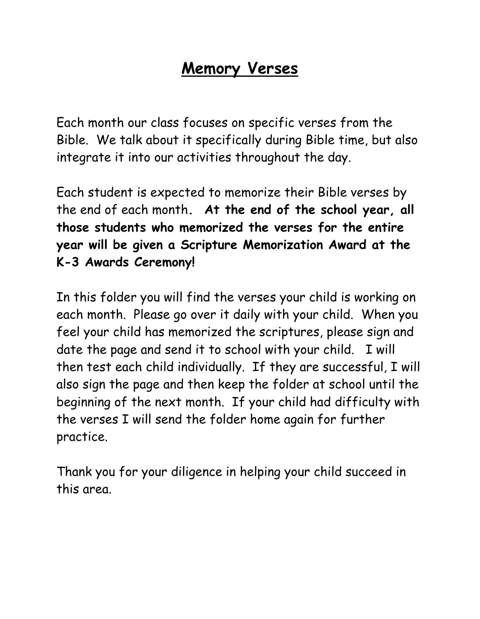## **Memory Verses**

Each month our class focuses on specific verses from the Bible. We talk about it specifically during Bible time, but also integrate it into our activities throughout the day.

Each student is expected to memorize their Bible verses by the end of each month**. At the end of the school year, all those students who memorized the verses for the entire year will be given a Scripture Memorization Award at the K-3 Awards Ceremony!**

In this folder you will find the verses your child is working on each month. Please go over it daily with your child. When you feel your child has memorized the scriptures, please sign and date the page and send it to school with your child. I will then test each child individually. If they are successful, I will also sign the page and then keep the folder at school until the beginning of the next month. If your child had difficulty with the verses I will send the folder home again for further practice.

Thank you for your diligence in helping your child succeed in this area.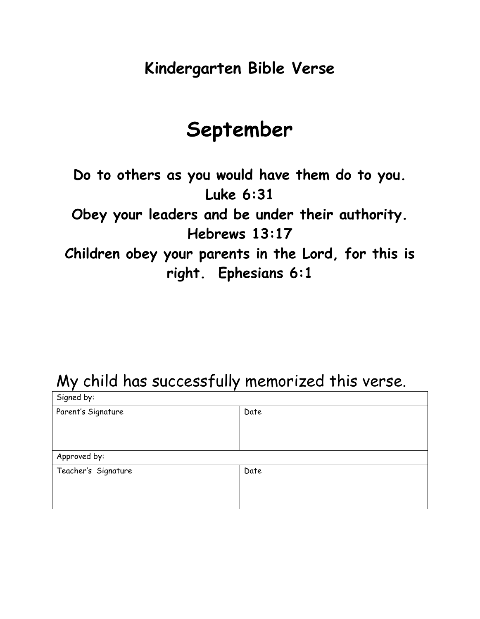# **September**

**Do to others as you would have them do to you. Luke 6:31 Obey your leaders and be under their authority. Hebrews 13:17 Children obey your parents in the Lord, for this is right. Ephesians 6:1**

| Signed by:          |      |
|---------------------|------|
| Parent's Signature  | Date |
| Approved by:        |      |
| Teacher's Signature | Date |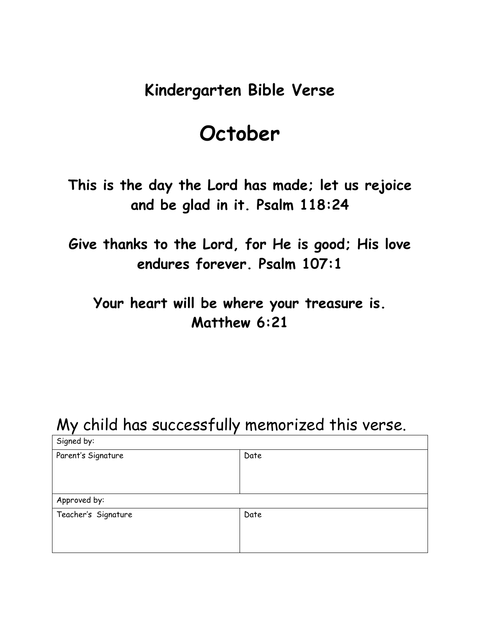# **October**

**This is the day the Lord has made; let us rejoice and be glad in it. Psalm 118:24**

**Give thanks to the Lord, for He is good; His love endures forever. Psalm 107:1**

**Your heart will be where your treasure is. Matthew 6:21**

| Signed by:          |      |
|---------------------|------|
| Parent's Signature  | Date |
|                     |      |
|                     |      |
|                     |      |
| Approved by:        |      |
| Teacher's Signature | Date |
|                     |      |
|                     |      |
|                     |      |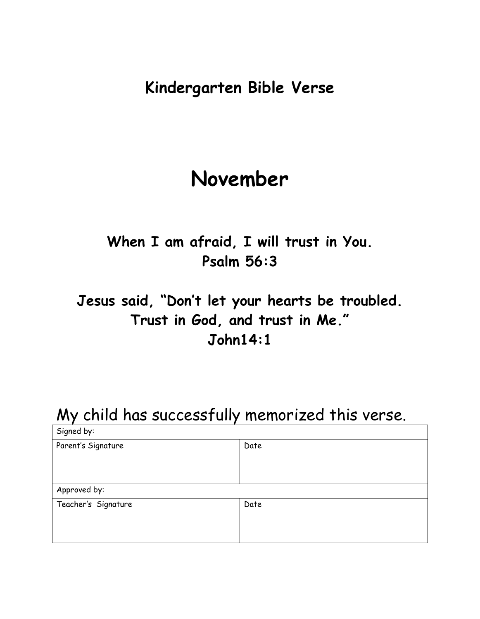# **November**

### **When I am afraid, I will trust in You. Psalm 56:3**

### **Jesus said, "Don't let your hearts be troubled. Trust in God, and trust in Me." John14:1**

| Signed by:          |      |
|---------------------|------|
| Parent's Signature  | Date |
| Approved by:        |      |
| Teacher's Signature | Date |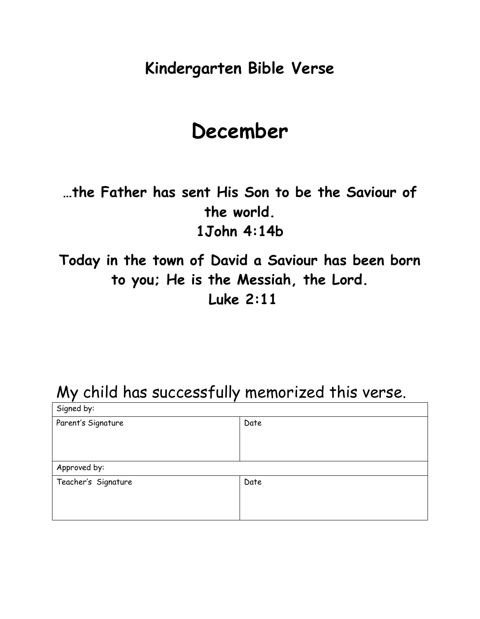# **December**

**…the Father has sent His Son to be the Saviour of the world. 1John 4:14b**

**Today in the town of David a Saviour has been born to you; He is the Messiah, the Lord. Luke 2:11**

| Signed by:          |      |
|---------------------|------|
| Parent's Signature  | Date |
| Approved by:        |      |
| Teacher's Signature | Date |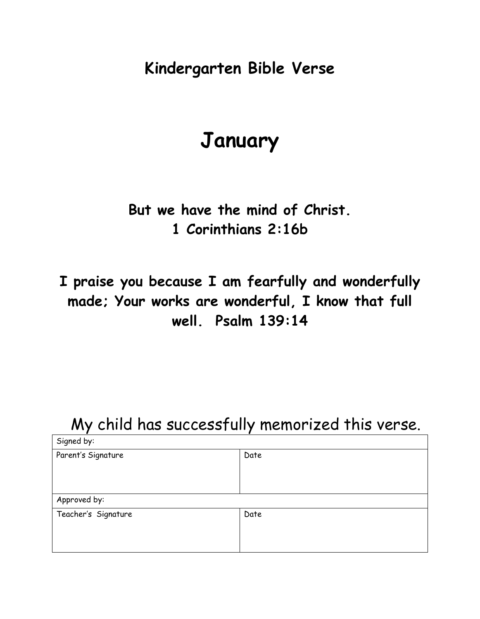# **January**

#### **But we have the mind of Christ. 1 Corinthians 2:16b**

**I praise you because I am fearfully and wonderfully made; Your works are wonderful, I know that full well. Psalm 139:14**

| Signed by:          |      |
|---------------------|------|
| Parent's Signature  | Date |
| Approved by:        |      |
| Teacher's Signature | Date |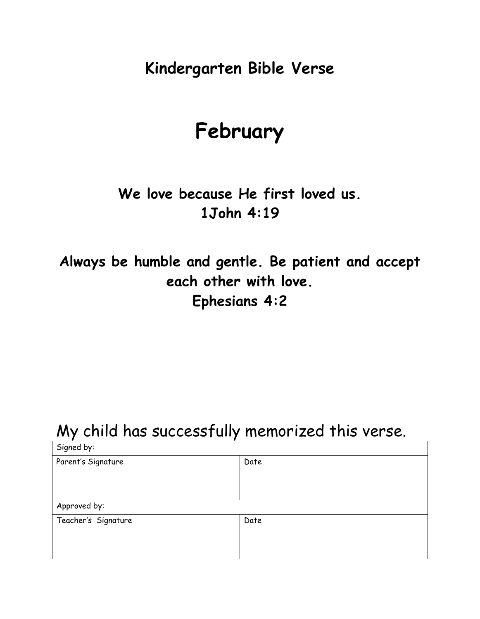# **February**

**We love because He first loved us. 1John 4:19**

**Always be humble and gentle. Be patient and accept each other with love. Ephesians 4:2**

| Signed by:          |      |
|---------------------|------|
| Parent's Signature  | Date |
|                     |      |
|                     |      |
|                     |      |
| Approved by:        |      |
| Teacher's Signature | Date |
|                     |      |
|                     |      |
|                     |      |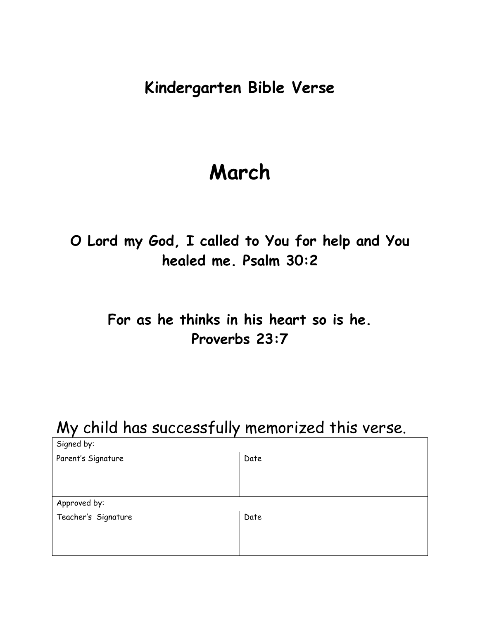# **March**

**O Lord my God, I called to You for help and You healed me. Psalm 30:2**

#### **For as he thinks in his heart so is he. Proverbs 23:7**

| Signed by:          |      |
|---------------------|------|
| Parent's Signature  | Date |
|                     |      |
|                     |      |
| Approved by:        |      |
| Teacher's Signature | Date |
|                     |      |
|                     |      |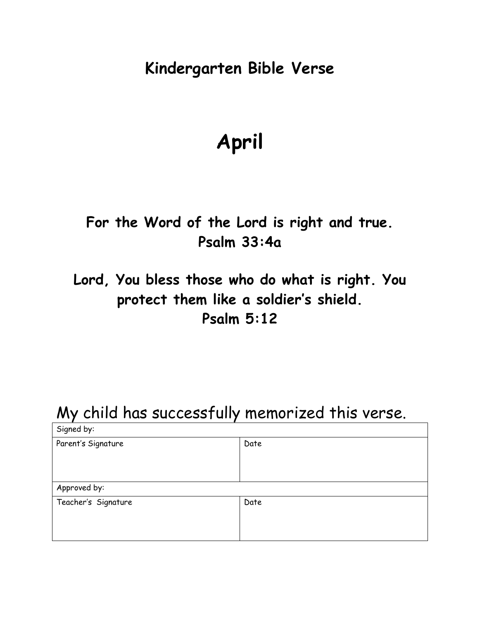# **April**

#### **For the Word of the Lord is right and true. Psalm 33:4a**

### **Lord, You bless those who do what is right. You protect them like a soldier's shield. Psalm 5:12**

| Signed by:          |      |
|---------------------|------|
| Parent's Signature  | Date |
|                     |      |
|                     |      |
| Approved by:        |      |
| Teacher's Signature | Date |
|                     |      |
|                     |      |
|                     |      |